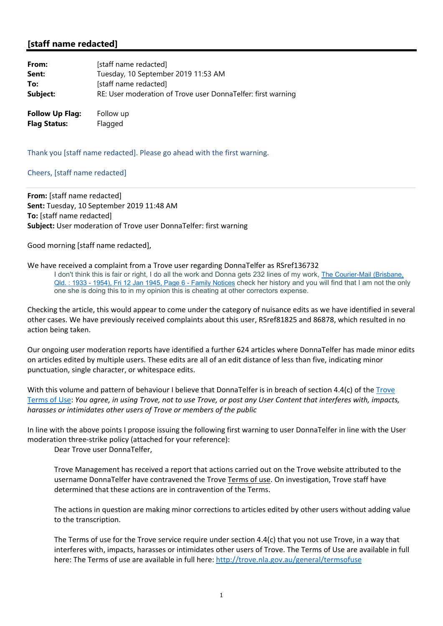## **[staff name redacted]**

| From:                  | [staff name redacted]                                        |
|------------------------|--------------------------------------------------------------|
| Sent:                  | Tuesday, 10 September 2019 11:53 AM                          |
| To:                    | [staff name redacted]                                        |
| Subject:               | RE: User moderation of Trove user DonnaTelfer: first warning |
| <b>Follow Up Flag:</b> | Follow up                                                    |

**Flag Status:** Flagged

Thank you [staff name redacted]. Please go ahead with the first warning.

## Cheers, [staff name redacted]

**From:** [staff name redacted] **Sent:** Tuesday, 10 September 2019 11:48 AM **To:** [staff name redacted] **Subject:** User moderation of Trove user DonnaTelfer: first warning

Good morning [staff name redacted],

## We have received a complaint from a Trove user regarding DonnaTelfer as RSref136732

I don't think this is fair or right, I do all the work and Donna gets 232 lines of my work, The Courier-Mail (Brisbane, Qld. : 1933 - 1954), Fri 12 Jan 1945, Page 6 - Family Notices check her history and you will find that I am not the only one she is doing this to in my opinion this is cheating at other correctors expense.

Checking the article, this would appear to come under the category of nuisance edits as we have identified in several other cases. We have previously received complaints about this user, RSref81825 and 86878, which resulted in no action being taken.

Our ongoing user moderation reports have identified a further 624 articles where DonnaTelfer has made minor edits on articles edited by multiple users. These edits are all of an edit distance of less than five, indicating minor punctuation, single character, or whitespace edits.

With this volume and pattern of behaviour I believe that DonnaTelfer is in breach of section 4.4(c) of the Trove Terms of Use: You agree, in using Trove, not to use Trove, or post any User Content that interferes with, impacts, *harasses or intimidates other users of Trove or members of the public*

In line with the above points I propose issuing the following first warning to user DonnaTelfer in line with the User moderation three-strike policy (attached for your reference):

Dear Trove user DonnaTelfer,

Trove Management has received a report that actions carried out on the Trove website attributed to the username DonnaTelfer have contravened the Trove Terms of use. On investigation, Trove staff have determined that these actions are in contravention of the Terms.

The actions in question are making minor corrections to articles edited by other users without adding value to the transcription.

The Terms of use for the Trove service require under section 4.4(c) that you not use Trove, in a way that interferes with, impacts, harasses or intimidates other users of Trove. The Terms of Use are available in full here: The Terms of use are available in full here: http://trove.nla.gov.au/general/termsofuse